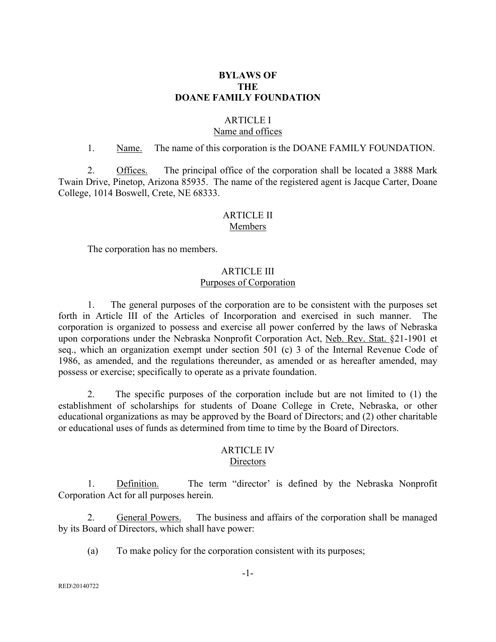## **BYLAWS OF THE DOANE FAMILY FOUNDATION**

# ARTICLE I

# Name and offices

#### 1. Name. The name of this corporation is the DOANE FAMILY FOUNDATION.

2. Offices. The principal office of the corporation shall be located a 3888 Mark Twain Drive, Pinetop, Arizona 85935. The name of the registered agent is Jacque Carter, Doane College, 1014 Boswell, Crete, NE 68333.

#### ARTICLE II Members

The corporation has no members.

#### ARTICLE III Purposes of Corporation

1. The general purposes of the corporation are to be consistent with the purposes set forth in Article III of the Articles of Incorporation and exercised in such manner. The corporation is organized to possess and exercise all power conferred by the laws of Nebraska upon corporations under the Nebraska Nonprofit Corporation Act, Neb. Rev. Stat. §21-1901 et seq., which an organization exempt under section 501 (c) 3 of the Internal Revenue Code of 1986, as amended, and the regulations thereunder, as amended or as hereafter amended, may possess or exercise; specifically to operate as a private foundation.

2. The specific purposes of the corporation include but are not limited to (1) the establishment of scholarships for students of Doane College in Crete, Nebraska, or other educational organizations as may be approved by the Board of Directors; and (2) other charitable or educational uses of funds as determined from time to time by the Board of Directors.

## ARTICLE IV **Directors**

1. Definition. The term "director' is defined by the Nebraska Nonprofit Corporation Act for all purposes herein.

2. General Powers. The business and affairs of the corporation shall be managed by its Board of Directors, which shall have power:

(a) To make policy for the corporation consistent with its purposes;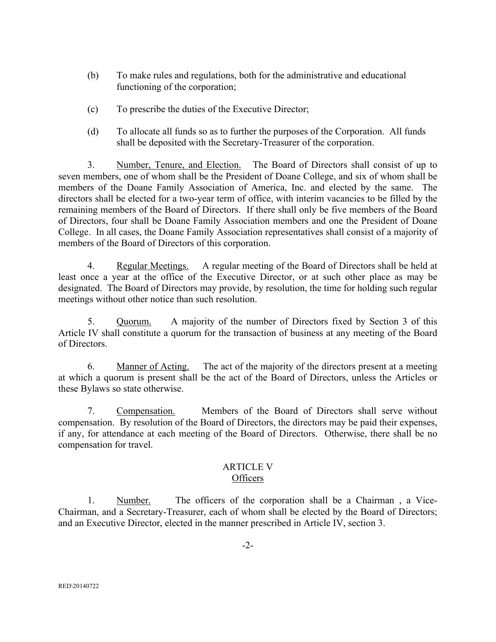- (b) To make rules and regulations, both for the administrative and educational functioning of the corporation;
- (c) To prescribe the duties of the Executive Director;
- (d) To allocate all funds so as to further the purposes of the Corporation. All funds shall be deposited with the Secretary-Treasurer of the corporation.

3. Number, Tenure, and Election. The Board of Directors shall consist of up to seven members, one of whom shall be the President of Doane College, and six of whom shall be members of the Doane Family Association of America, Inc. and elected by the same. The directors shall be elected for a two-year term of office, with interim vacancies to be filled by the remaining members of the Board of Directors. If there shall only be five members of the Board of Directors, four shall be Doane Family Association members and one the President of Doane College. In all cases, the Doane Family Association representatives shall consist of a majority of members of the Board of Directors of this corporation.

4. Regular Meetings. A regular meeting of the Board of Directors shall be held at least once a year at the office of the Executive Director, or at such other place as may be designated. The Board of Directors may provide, by resolution, the time for holding such regular meetings without other notice than such resolution.

5. Quorum. A majority of the number of Directors fixed by Section 3 of this Article IV shall constitute a quorum for the transaction of business at any meeting of the Board of Directors.

6. Manner of Acting. The act of the majority of the directors present at a meeting at which a quorum is present shall be the act of the Board of Directors, unless the Articles or these Bylaws so state otherwise.

7. Compensation. Members of the Board of Directors shall serve without compensation. By resolution of the Board of Directors, the directors may be paid their expenses, if any, for attendance at each meeting of the Board of Directors. Otherwise, there shall be no compensation for travel.

## ARTICLE V **Officers**

1. Number. The officers of the corporation shall be a Chairman , a Vice-Chairman, and a Secretary-Treasurer, each of whom shall be elected by the Board of Directors; and an Executive Director, elected in the manner prescribed in Article IV, section 3.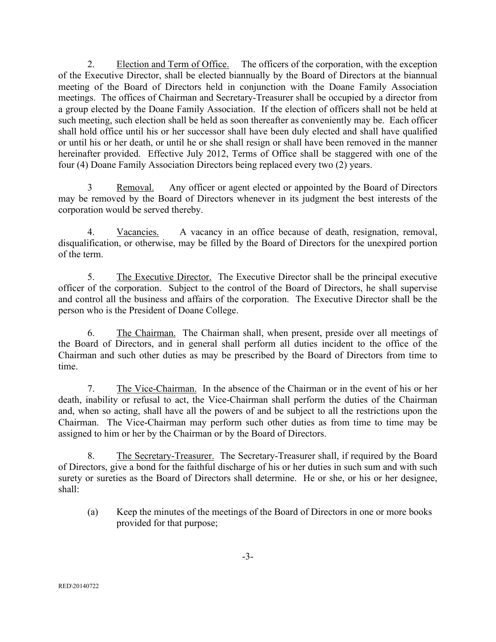2. Election and Term of Office. The officers of the corporation, with the exception of the Executive Director, shall be elected biannually by the Board of Directors at the biannual meeting of the Board of Directors held in conjunction with the Doane Family Association meetings. The offices of Chairman and Secretary-Treasurer shall be occupied by a director from a group elected by the Doane Family Association. If the election of officers shall not be held at such meeting, such election shall be held as soon thereafter as conveniently may be. Each officer shall hold office until his or her successor shall have been duly elected and shall have qualified or until his or her death, or until he or she shall resign or shall have been removed in the manner hereinafter provided. Effective July 2012, Terms of Office shall be staggered with one of the four (4) Doane Family Association Directors being replaced every two (2) years.

3 Removal. Any officer or agent elected or appointed by the Board of Directors may be removed by the Board of Directors whenever in its judgment the best interests of the corporation would be served thereby.

4. Vacancies. A vacancy in an office because of death, resignation, removal, disqualification, or otherwise, may be filled by the Board of Directors for the unexpired portion of the term.

5. The Executive Director. The Executive Director shall be the principal executive officer of the corporation. Subject to the control of the Board of Directors, he shall supervise and control all the business and affairs of the corporation. The Executive Director shall be the person who is the President of Doane College.

6. The Chairman. The Chairman shall, when present, preside over all meetings of the Board of Directors, and in general shall perform all duties incident to the office of the Chairman and such other duties as may be prescribed by the Board of Directors from time to time.

7. The Vice-Chairman. In the absence of the Chairman or in the event of his or her death, inability or refusal to act, the Vice-Chairman shall perform the duties of the Chairman and, when so acting, shall have all the powers of and be subject to all the restrictions upon the Chairman. The Vice-Chairman may perform such other duties as from time to time may be assigned to him or her by the Chairman or by the Board of Directors.

8. The Secretary-Treasurer. The Secretary-Treasurer shall, if required by the Board of Directors, give a bond for the faithful discharge of his or her duties in such sum and with such surety or sureties as the Board of Directors shall determine. He or she, or his or her designee, shall:

(a) Keep the minutes of the meetings of the Board of Directors in one or more books provided for that purpose;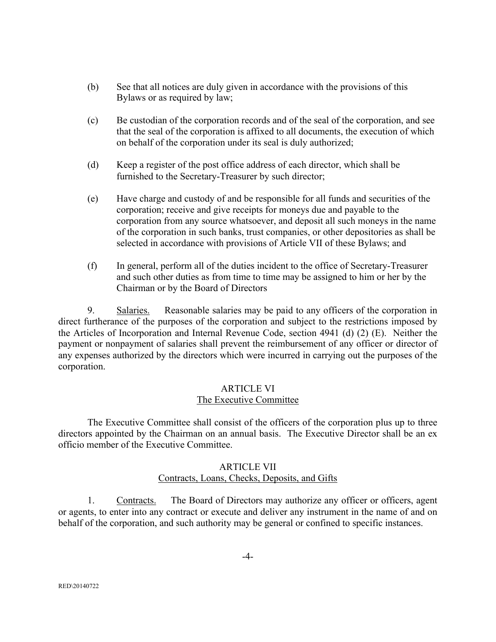- (b) See that all notices are duly given in accordance with the provisions of this Bylaws or as required by law;
- (c) Be custodian of the corporation records and of the seal of the corporation, and see that the seal of the corporation is affixed to all documents, the execution of which on behalf of the corporation under its seal is duly authorized;
- (d) Keep a register of the post office address of each director, which shall be furnished to the Secretary-Treasurer by such director;
- (e) Have charge and custody of and be responsible for all funds and securities of the corporation; receive and give receipts for moneys due and payable to the corporation from any source whatsoever, and deposit all such moneys in the name of the corporation in such banks, trust companies, or other depositories as shall be selected in accordance with provisions of Article VII of these Bylaws; and
- (f) In general, perform all of the duties incident to the office of Secretary-Treasurer and such other duties as from time to time may be assigned to him or her by the Chairman or by the Board of Directors

9. Salaries. Reasonable salaries may be paid to any officers of the corporation in direct furtherance of the purposes of the corporation and subject to the restrictions imposed by the Articles of Incorporation and Internal Revenue Code, section 4941 (d) (2) (E). Neither the payment or nonpayment of salaries shall prevent the reimbursement of any officer or director of any expenses authorized by the directors which were incurred in carrying out the purposes of the corporation.

# ARTICLE VI The Executive Committee

The Executive Committee shall consist of the officers of the corporation plus up to three directors appointed by the Chairman on an annual basis. The Executive Director shall be an ex officio member of the Executive Committee.

# ARTICLE VII

# Contracts, Loans, Checks, Deposits, and Gifts

1. Contracts. The Board of Directors may authorize any officer or officers, agent or agents, to enter into any contract or execute and deliver any instrument in the name of and on behalf of the corporation, and such authority may be general or confined to specific instances.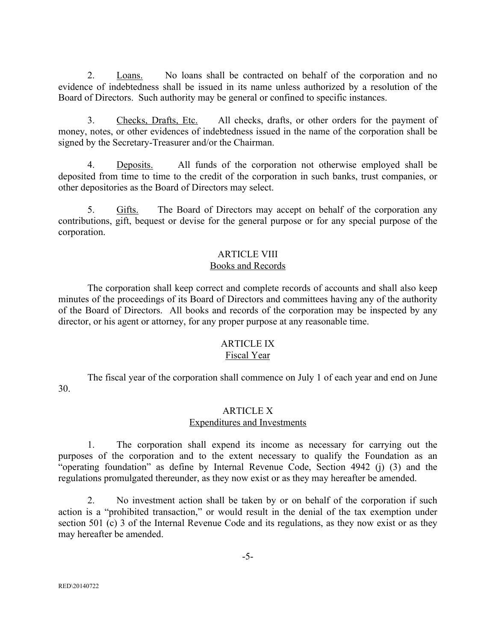2. Loans. No loans shall be contracted on behalf of the corporation and no evidence of indebtedness shall be issued in its name unless authorized by a resolution of the Board of Directors. Such authority may be general or confined to specific instances.

3. Checks, Drafts, Etc. All checks, drafts, or other orders for the payment of money, notes, or other evidences of indebtedness issued in the name of the corporation shall be signed by the Secretary-Treasurer and/or the Chairman.

4. Deposits. All funds of the corporation not otherwise employed shall be deposited from time to time to the credit of the corporation in such banks, trust companies, or other depositories as the Board of Directors may select.

5. Gifts. The Board of Directors may accept on behalf of the corporation any contributions, gift, bequest or devise for the general purpose or for any special purpose of the corporation.

## ARTICLE VIII Books and Records

The corporation shall keep correct and complete records of accounts and shall also keep minutes of the proceedings of its Board of Directors and committees having any of the authority of the Board of Directors. All books and records of the corporation may be inspected by any director, or his agent or attorney, for any proper purpose at any reasonable time.

# ARTICLE IX

## Fiscal Year

The fiscal year of the corporation shall commence on July 1 of each year and end on June 30.

## ARTICLE X

## Expenditures and Investments

1. The corporation shall expend its income as necessary for carrying out the purposes of the corporation and to the extent necessary to qualify the Foundation as an "operating foundation" as define by Internal Revenue Code, Section 4942 (j) (3) and the regulations promulgated thereunder, as they now exist or as they may hereafter be amended.

2. No investment action shall be taken by or on behalf of the corporation if such action is a "prohibited transaction," or would result in the denial of the tax exemption under section 501 (c) 3 of the Internal Revenue Code and its regulations, as they now exist or as they may hereafter be amended.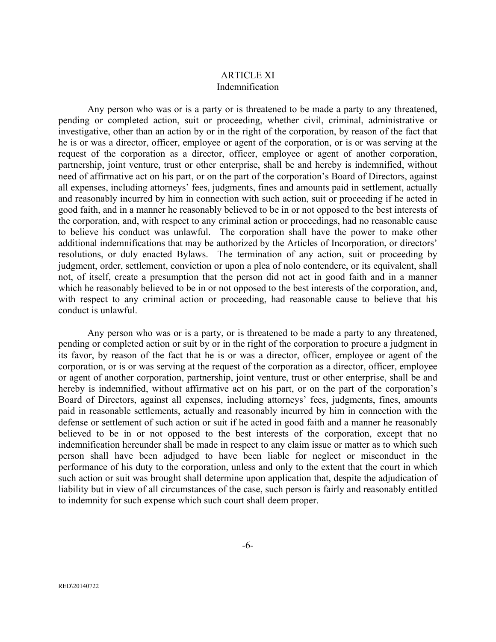## ARTICLE XI Indemnification

Any person who was or is a party or is threatened to be made a party to any threatened, pending or completed action, suit or proceeding, whether civil, criminal, administrative or investigative, other than an action by or in the right of the corporation, by reason of the fact that he is or was a director, officer, employee or agent of the corporation, or is or was serving at the request of the corporation as a director, officer, employee or agent of another corporation, partnership, joint venture, trust or other enterprise, shall be and hereby is indemnified, without need of affirmative act on his part, or on the part of the corporation's Board of Directors, against all expenses, including attorneys' fees, judgments, fines and amounts paid in settlement, actually and reasonably incurred by him in connection with such action, suit or proceeding if he acted in good faith, and in a manner he reasonably believed to be in or not opposed to the best interests of the corporation, and, with respect to any criminal action or proceedings, had no reasonable cause to believe his conduct was unlawful. The corporation shall have the power to make other additional indemnifications that may be authorized by the Articles of Incorporation, or directors' resolutions, or duly enacted Bylaws. The termination of any action, suit or proceeding by judgment, order, settlement, conviction or upon a plea of nolo contendere, or its equivalent, shall not, of itself, create a presumption that the person did not act in good faith and in a manner which he reasonably believed to be in or not opposed to the best interests of the corporation, and, with respect to any criminal action or proceeding, had reasonable cause to believe that his conduct is unlawful.

Any person who was or is a party, or is threatened to be made a party to any threatened, pending or completed action or suit by or in the right of the corporation to procure a judgment in its favor, by reason of the fact that he is or was a director, officer, employee or agent of the corporation, or is or was serving at the request of the corporation as a director, officer, employee or agent of another corporation, partnership, joint venture, trust or other enterprise, shall be and hereby is indemnified, without affirmative act on his part, or on the part of the corporation's Board of Directors, against all expenses, including attorneys' fees, judgments, fines, amounts paid in reasonable settlements, actually and reasonably incurred by him in connection with the defense or settlement of such action or suit if he acted in good faith and a manner he reasonably believed to be in or not opposed to the best interests of the corporation, except that no indemnification hereunder shall be made in respect to any claim issue or matter as to which such person shall have been adjudged to have been liable for neglect or misconduct in the performance of his duty to the corporation, unless and only to the extent that the court in which such action or suit was brought shall determine upon application that, despite the adjudication of liability but in view of all circumstances of the case, such person is fairly and reasonably entitled to indemnity for such expense which such court shall deem proper.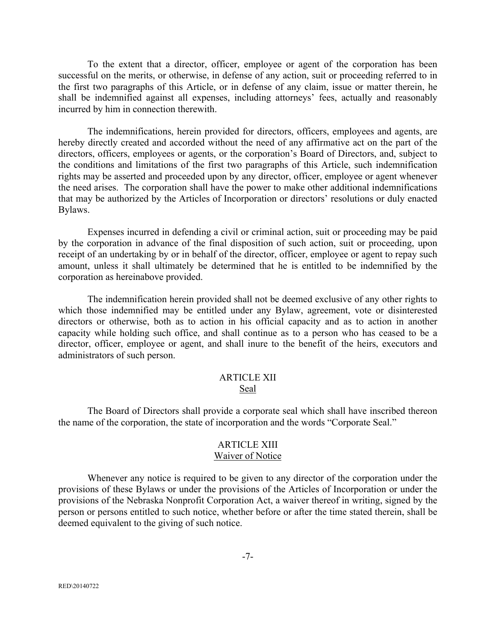To the extent that a director, officer, employee or agent of the corporation has been successful on the merits, or otherwise, in defense of any action, suit or proceeding referred to in the first two paragraphs of this Article, or in defense of any claim, issue or matter therein, he shall be indemnified against all expenses, including attorneys' fees, actually and reasonably incurred by him in connection therewith.

The indemnifications, herein provided for directors, officers, employees and agents, are hereby directly created and accorded without the need of any affirmative act on the part of the directors, officers, employees or agents, or the corporation's Board of Directors, and, subject to the conditions and limitations of the first two paragraphs of this Article, such indemnification rights may be asserted and proceeded upon by any director, officer, employee or agent whenever the need arises. The corporation shall have the power to make other additional indemnifications that may be authorized by the Articles of Incorporation or directors' resolutions or duly enacted Bylaws.

Expenses incurred in defending a civil or criminal action, suit or proceeding may be paid by the corporation in advance of the final disposition of such action, suit or proceeding, upon receipt of an undertaking by or in behalf of the director, officer, employee or agent to repay such amount, unless it shall ultimately be determined that he is entitled to be indemnified by the corporation as hereinabove provided.

The indemnification herein provided shall not be deemed exclusive of any other rights to which those indemnified may be entitled under any Bylaw, agreement, vote or disinterested directors or otherwise, both as to action in his official capacity and as to action in another capacity while holding such office, and shall continue as to a person who has ceased to be a director, officer, employee or agent, and shall inure to the benefit of the heirs, executors and administrators of such person.

#### ARTICLE XII Seal

The Board of Directors shall provide a corporate seal which shall have inscribed thereon the name of the corporation, the state of incorporation and the words "Corporate Seal."

#### ARTICLE XIII Waiver of Notice

Whenever any notice is required to be given to any director of the corporation under the provisions of these Bylaws or under the provisions of the Articles of Incorporation or under the provisions of the Nebraska Nonprofit Corporation Act, a waiver thereof in writing, signed by the person or persons entitled to such notice, whether before or after the time stated therein, shall be deemed equivalent to the giving of such notice.